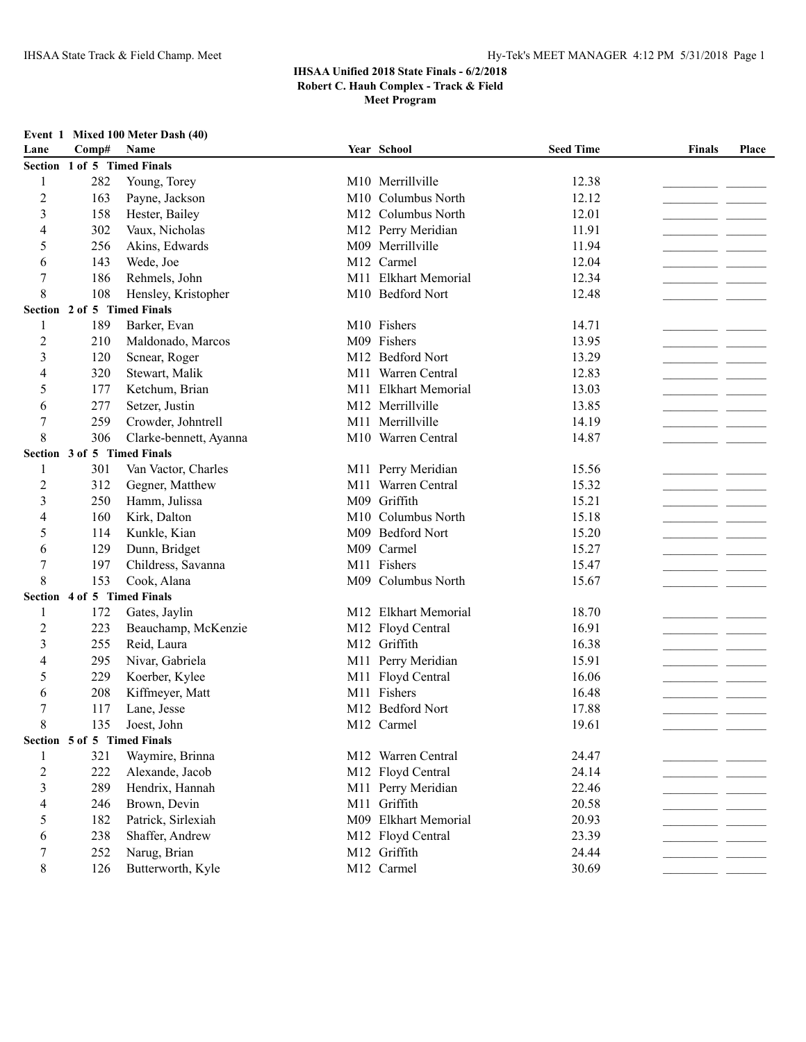**Event 1 Mixed 100 Meter Dash (40)**

## **IHSAA Unified 2018 State Finals - 6/2/2018 Robert C. Hauh Complex - Track & Field**

**Meet Program**

| Lane | $\bf Comp#$ | <b>Name</b>                 | Year School                    | <b>Seed Time</b> | <b>Finals</b> | Place |
|------|-------------|-----------------------------|--------------------------------|------------------|---------------|-------|
|      |             | Section 1 of 5 Timed Finals |                                |                  |               |       |
|      | 282         | Young, Torey                | M <sub>10</sub> Merrillyille   | 12.38            |               |       |
|      | 163         | Payne, Jackson              | M <sub>10</sub> Columbus North | 12.12            |               |       |
|      | 158         | Hester, Bailey              | M <sub>12</sub> Columbus North | 12.01            |               |       |
| 4    | 302         | Vaux, Nicholas              | M12 Perry Meridian             | 11.91            |               |       |
|      | 256         | Akins, Edwards              | M09 Merrillyille               | 11.94            |               |       |
| 6    | 143         | Wede, Joe                   | M <sub>12</sub> Carmel         | 12.04            |               |       |
|      | 186         | Rehmels, John               | M11 Elkhart Memorial           | 12.34            |               |       |
|      |             | 108 Henslev. Kristopher     | M <sub>10</sub> Bedford Nort   | 12.48            |               |       |

| $\mathfrak{Z}$          | 158                         | Hester, Bailey         | M12 Columbus North             | 12.01 |                                                                                                                        |        |
|-------------------------|-----------------------------|------------------------|--------------------------------|-------|------------------------------------------------------------------------------------------------------------------------|--------|
| 4                       | 302                         | Vaux, Nicholas         | M12 Perry Meridian             | 11.91 |                                                                                                                        |        |
| 5                       | 256                         | Akins, Edwards         | M09 Merrillville               | 11.94 | and the                                                                                                                |        |
| 6                       | 143                         | Wede, Joe              | M12 Carmel                     | 12.04 |                                                                                                                        |        |
| $\overline{7}$          | 186                         | Rehmels, John          | M11 Elkhart Memorial           | 12.34 |                                                                                                                        |        |
| 8                       | 108                         | Hensley, Kristopher    | M <sub>10</sub> Bedford Nort   | 12.48 |                                                                                                                        |        |
|                         | Section 2 of 5 Timed Finals |                        |                                |       |                                                                                                                        |        |
| 1                       | 189                         | Barker, Evan           | M <sub>10</sub> Fishers        | 14.71 |                                                                                                                        |        |
| $\overline{c}$          | 210                         | Maldonado, Marcos      | M09 Fishers                    | 13.95 | <u> 1989 - Jan James James Jan James James James James James James James James James James James James James James</u> |        |
| 3                       | 120                         | Scnear, Roger          | M <sub>12</sub> Bedford Nort   | 13.29 |                                                                                                                        |        |
| 4                       | 320                         | Stewart, Malik         | M11 Warren Central             | 12.83 |                                                                                                                        |        |
| 5                       | 177                         | Ketchum, Brian         | M11 Elkhart Memorial           | 13.03 |                                                                                                                        |        |
| 6                       | 277                         | Setzer, Justin         | M12 Merrillville               | 13.85 |                                                                                                                        |        |
| $\overline{7}$          | 259                         | Crowder, Johntrell     | M11 Merrillville               | 14.19 |                                                                                                                        |        |
| 8                       | 306                         | Clarke-bennett, Ayanna | M <sub>10</sub> Warren Central | 14.87 |                                                                                                                        |        |
|                         | Section 3 of 5 Timed Finals |                        |                                |       |                                                                                                                        |        |
| 1                       | 301                         | Van Vactor, Charles    | M11 Perry Meridian             | 15.56 |                                                                                                                        |        |
| $\overline{c}$          | 312                         | Gegner, Matthew        | M11 Warren Central             | 15.32 |                                                                                                                        |        |
| 3                       | 250                         | Hamm, Julissa          | M09 Griffith                   | 15.21 | - -                                                                                                                    |        |
| 4                       | 160                         | Kirk, Dalton           | M <sub>10</sub> Columbus North | 15.18 | - -                                                                                                                    |        |
| 5                       | 114                         | Kunkle, Kian           | M09 Bedford Nort               | 15.20 |                                                                                                                        |        |
| 6                       | 129                         | Dunn, Bridget          | M09 Carmel                     | 15.27 |                                                                                                                        |        |
| $\overline{7}$          | 197                         | Childress, Savanna     | M11 Fishers                    | 15.47 |                                                                                                                        |        |
| 8                       | 153                         | Cook, Alana            | M09 Columbus North             | 15.67 |                                                                                                                        |        |
|                         | Section 4 of 5 Timed Finals |                        |                                |       |                                                                                                                        |        |
| 1                       | 172                         | Gates, Jaylin          | M12 Elkhart Memorial           | 18.70 |                                                                                                                        |        |
| $\overline{2}$          | 223                         | Beauchamp, McKenzie    | M12 Floyd Central              | 16.91 |                                                                                                                        |        |
| $\overline{\mathbf{3}}$ | 255                         | Reid, Laura            | M12 Griffith                   | 16.38 |                                                                                                                        | $\sim$ |
| 4                       | 295                         | Nivar, Gabriela        | M11 Perry Meridian             | 15.91 |                                                                                                                        |        |
| 5                       | 229                         | Koerber, Kylee         | M11 Floyd Central              | 16.06 |                                                                                                                        |        |
| 6                       | 208                         | Kiffmeyer, Matt        | M11 Fishers                    | 16.48 |                                                                                                                        |        |
| $\boldsymbol{7}$        | 117                         | Lane, Jesse            | M12 Bedford Nort               | 17.88 |                                                                                                                        |        |
| 8                       | 135                         | Joest, John            | M12 Carmel                     | 19.61 |                                                                                                                        |        |
|                         | Section 5 of 5 Timed Finals |                        |                                |       |                                                                                                                        |        |
| 1                       | 321                         | Waymire, Brinna        | M12 Warren Central             | 24.47 |                                                                                                                        |        |
| $\overline{2}$          | 222                         | Alexande, Jacob        | M12 Floyd Central              | 24.14 |                                                                                                                        |        |
| 3                       | 289                         | Hendrix, Hannah        | M11 Perry Meridian             | 22.46 |                                                                                                                        |        |
| 4                       | 246                         | Brown, Devin           | M11 Griffith                   | 20.58 |                                                                                                                        |        |
| 5                       | 182                         | Patrick, Sirlexiah     | M09 Elkhart Memorial           | 20.93 |                                                                                                                        |        |
| 6                       | 238                         | Shaffer, Andrew        | M12 Floyd Central              | 23.39 |                                                                                                                        |        |
| 7                       | 252                         | Narug, Brian           | M12 Griffith                   | 24.44 |                                                                                                                        |        |
| 8                       | 126                         | Butterworth, Kyle      | M12 Carmel                     | 30.69 |                                                                                                                        |        |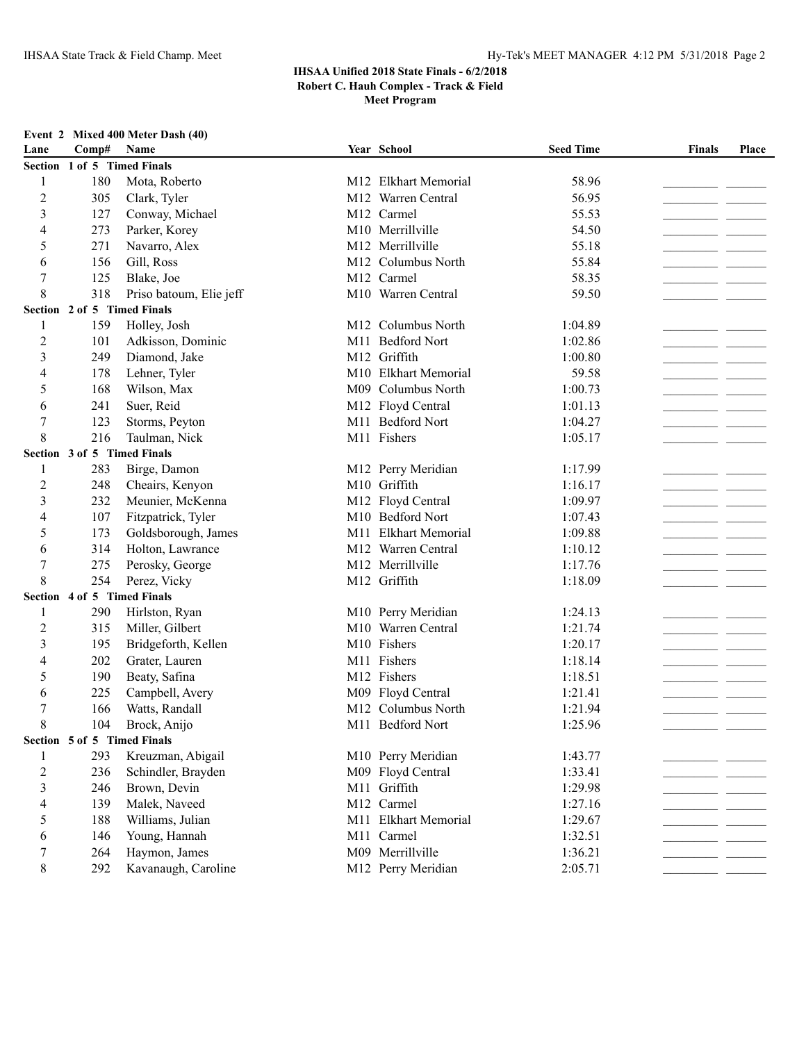**Meet Program**

|      |               | Event 2 Mixed 400 Meter Dash (40) |
|------|---------------|-----------------------------------|
| Lane | $Comn\#$ Name |                                   |

| Lane           | Comp#                       | Name                    | Year School          | <b>Seed Time</b> | <b>Finals</b> | Place |
|----------------|-----------------------------|-------------------------|----------------------|------------------|---------------|-------|
|                | Section 1 of 5 Timed Finals |                         |                      |                  |               |       |
| 1              | 180                         | Mota, Roberto           | M12 Elkhart Memorial | 58.96            |               |       |
| 2              | 305                         | Clark, Tyler            | M12 Warren Central   | 56.95            |               |       |
| 3              | 127                         | Conway, Michael         | M12 Carmel           | 55.53            |               |       |
| 4              | 273                         | Parker, Korey           | M10 Merrillville     | 54.50            |               |       |
| 5              | 271                         | Navarro, Alex           | M12 Merrillville     | 55.18            |               |       |
| 6              | 156                         | Gill, Ross              | M12 Columbus North   | 55.84            |               |       |
| 7              | 125                         | Blake, Joe              | M12 Carmel           | 58.35            |               |       |
| 8              | 318                         | Priso batoum, Elie jeff | M10 Warren Central   | 59.50            |               |       |
|                | Section 2 of 5 Timed Finals |                         |                      |                  |               |       |
| 1              | 159                         | Holley, Josh            | M12 Columbus North   | 1:04.89          |               |       |
| $\overline{2}$ | 101                         | Adkisson, Dominic       | M11 Bedford Nort     | 1:02.86          |               |       |
| 3              | 249                         | Diamond, Jake           | M12 Griffith         | 1:00.80          |               |       |
| 4              | 178                         | Lehner, Tyler           | M10 Elkhart Memorial | 59.58            |               |       |
| 5              | 168                         | Wilson, Max             | M09 Columbus North   | 1:00.73          |               |       |
| 6              | 241                         | Suer, Reid              | M12 Floyd Central    | 1:01.13          |               |       |
| 7              | 123                         | Storms, Peyton          | M11 Bedford Nort     | 1:04.27          |               |       |
| 8              | 216                         | Taulman, Nick           | M11 Fishers          | 1:05.17          |               |       |
|                | Section 3 of 5 Timed Finals |                         |                      |                  |               |       |
| 1              | 283                         | Birge, Damon            | M12 Perry Meridian   | 1:17.99          | _ _           |       |
| 2              | 248                         | Cheairs, Kenyon         | M10 Griffith         | 1:16.17          |               |       |
| 3              | 232                         | Meunier, McKenna        | M12 Floyd Central    | 1:09.97          |               |       |
| 4              | 107                         | Fitzpatrick, Tyler      | M10 Bedford Nort     | 1:07.43          |               |       |
| 5              | 173                         | Goldsborough, James     | M11 Elkhart Memorial | 1:09.88          |               |       |
| 6              | 314                         | Holton, Lawrance        | M12 Warren Central   | 1:10.12          |               |       |
| 7              | 275                         | Perosky, George         | M12 Merrillville     | 1:17.76          |               |       |
| 8              | 254                         | Perez, Vicky            | M12 Griffith         | 1:18.09          |               |       |
|                | Section 4 of 5 Timed Finals |                         |                      |                  |               |       |
| 1              | 290                         | Hirlston, Ryan          | M10 Perry Meridian   | 1:24.13          |               |       |
| $\overline{c}$ | 315                         | Miller, Gilbert         | M10 Warren Central   | 1:21.74          |               |       |
| 3              | 195                         | Bridgeforth, Kellen     | M10 Fishers          | 1:20.17          |               |       |
| 4              | 202                         | Grater, Lauren          | M11 Fishers          | 1:18.14          |               |       |
| 5              | 190                         | Beaty, Safina           | M12 Fishers          | 1:18.51          |               |       |
| 6              | 225                         | Campbell, Avery         | M09 Floyd Central    | 1:21.41          |               |       |
| 7              | 166                         | Watts, Randall          | M12 Columbus North   | 1:21.94          |               |       |
| 8              | 104                         | Brock, Anijo            | M11 Bedford Nort     | 1:25.96          |               |       |
|                | Section 5 of 5 Timed Finals |                         |                      |                  |               |       |
|                | 293                         | Kreuzman, Abigail       | M10 Perry Meridian   | 1:43.77          |               |       |
| $\overline{c}$ | 236                         | Schindler, Brayden      | M09 Floyd Central    | 1:33.41          |               |       |
| 3              | 246                         | Brown, Devin            | M11 Griffith         | 1:29.98          |               |       |
| 4              | 139                         | Malek, Naveed           | M12 Carmel           | 1:27.16          |               |       |
| 5              | 188                         | Williams, Julian        | M11 Elkhart Memorial | 1:29.67          |               |       |
| 6              | 146                         | Young, Hannah           | M11 Carmel           | 1:32.51          |               |       |
| 7              | 264                         | Haymon, James           | M09 Merrillville     | 1:36.21          |               |       |
| 8              | 292                         | Kavanaugh, Caroline     | M12 Perry Meridian   | 2:05.71          |               |       |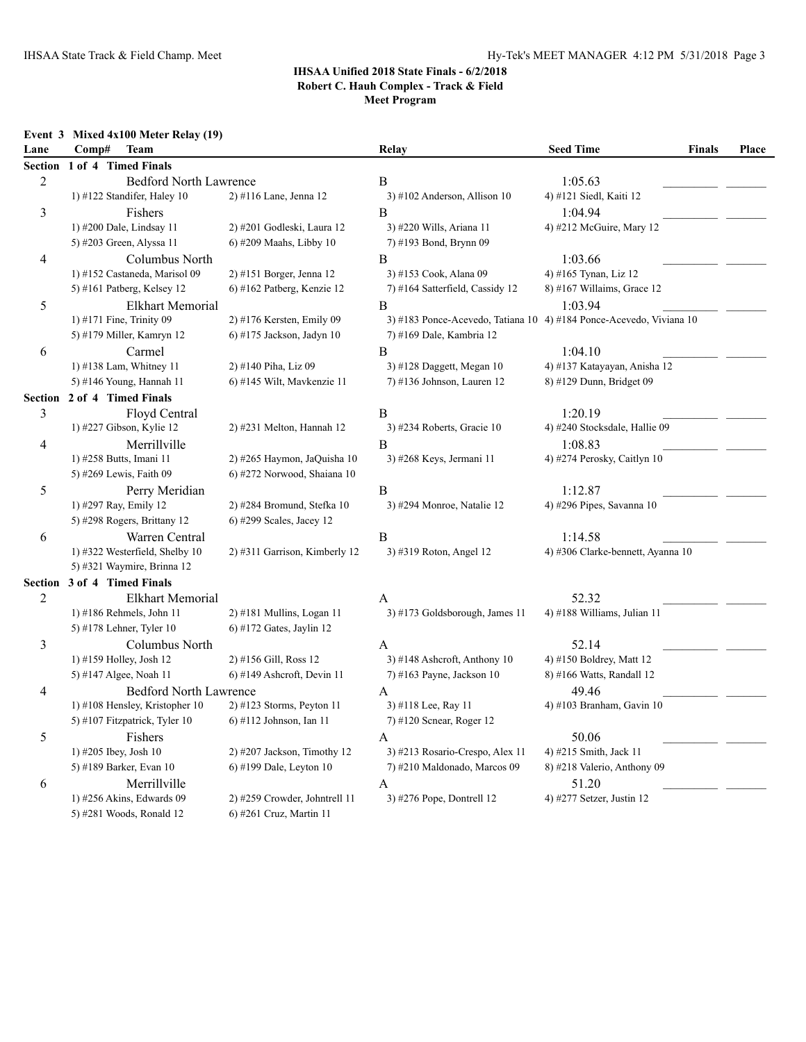**Meet Program**

#### **Event 3 Mixed 4x100 Meter Relay (19)**

| Lane           | Comp#<br><b>Team</b>           |                               | Relay                           | <b>Seed Time</b><br><b>Finals</b>                                   | <b>Place</b> |
|----------------|--------------------------------|-------------------------------|---------------------------------|---------------------------------------------------------------------|--------------|
| <b>Section</b> | 1 of 4 Timed Finals            |                               |                                 |                                                                     |              |
| $\sqrt{2}$     | <b>Bedford North Lawrence</b>  |                               | B                               | 1:05.63                                                             |              |
|                | 1) #122 Standifer, Haley 10    | 2) #116 Lane, Jenna 12        | $3)$ #102 Anderson, Allison 10  | 4) #121 Siedl, Kaiti 12                                             |              |
| 3              | Fishers                        |                               | B                               | 1:04.94                                                             |              |
|                | 1) #200 Dale, Lindsay 11       | 2) #201 Godleski, Laura 12    | 3) #220 Wills, Ariana 11        | 4) #212 McGuire, Mary 12                                            |              |
|                | 5) #203 Green, Alyssa 11       | 6) #209 Maahs, Libby 10       | 7) #193 Bond, Brynn 09          |                                                                     |              |
| 4              | Columbus North                 |                               | B                               | 1:03.66                                                             |              |
|                | 1) #152 Castaneda, Marisol 09  | 2) #151 Borger, Jenna 12      | 3) #153 Cook, Alana 09          | 4) #165 Tynan, Liz 12                                               |              |
|                | 5) #161 Patberg, Kelsey 12     | 6) #162 Patberg, Kenzie 12    | 7) #164 Satterfield, Cassidy 12 | 8) #167 Willaims, Grace 12                                          |              |
| 5              | Elkhart Memorial               |                               | B                               | 1:03.94                                                             |              |
|                | 1) #171 Fine, Trinity 09       | 2) #176 Kersten, Emily 09     |                                 | 3) #183 Ponce-Acevedo, Tatiana 10 4) #184 Ponce-Acevedo, Viviana 10 |              |
|                | 5) #179 Miller, Kamryn 12      | 6) #175 Jackson, Jadyn 10     | 7) #169 Dale, Kambria 12        |                                                                     |              |
| 6              | Carmel                         |                               | B                               | 1:04.10                                                             |              |
|                | 1) #138 Lam, Whitney 11        | 2) #140 Piha, Liz 09          | 3) #128 Daggett, Megan 10       | 4) #137 Katayayan, Anisha 12                                        |              |
|                | 5) #146 Young, Hannah 11       | 6) #145 Wilt, Mavkenzie 11    | 7) #136 Johnson, Lauren 12      | 8) #129 Dunn, Bridget 09                                            |              |
| Section        | 2 of 4 Timed Finals            |                               |                                 |                                                                     |              |
| 3              | Floyd Central                  |                               | B                               | 1:20.19                                                             |              |
|                | 1) #227 Gibson, Kylie 12       | 2) #231 Melton, Hannah 12     | 3) #234 Roberts, Gracie 10      | 4) #240 Stocksdale, Hallie 09                                       |              |
| 4              | Merrillville                   |                               | $\overline{B}$                  | 1:08.83                                                             |              |
|                | 1) #258 Butts, Imani 11        | 2) #265 Haymon, JaQuisha 10   | 3) #268 Keys, Jermani 11        | 4) #274 Perosky, Caitlyn 10                                         |              |
|                | 5) #269 Lewis, Faith 09        | 6) #272 Norwood, Shaiana 10   |                                 |                                                                     |              |
| 5              | Perry Meridian                 |                               | B                               | 1:12.87                                                             |              |
|                | 1) #297 Ray, Emily 12          | 2) #284 Bromund, Stefka 10    | 3) #294 Monroe, Natalie 12      | 4) #296 Pipes, Savanna 10                                           |              |
|                | 5) #298 Rogers, Brittany 12    | 6) #299 Scales, Jacey 12      |                                 |                                                                     |              |
| 6              | Warren Central                 |                               | $\, {\bf B}$                    | 1:14.58                                                             |              |
|                | 1) #322 Westerfield, Shelby 10 | 2) #311 Garrison, Kimberly 12 | 3) #319 Roton, Angel 12         | 4) #306 Clarke-bennett, Ayanna 10                                   |              |
|                | 5) #321 Waymire, Brinna 12     |                               |                                 |                                                                     |              |
| Section        | 3 of 4 Timed Finals            |                               |                                 |                                                                     |              |
| $\overline{c}$ | Elkhart Memorial               |                               | A                               | 52.32                                                               |              |
|                | 1) #186 Rehmels, John 11       | $2)$ #181 Mullins, Logan 11   | 3) #173 Goldsborough, James 11  | 4) #188 Williams, Julian 11                                         |              |
|                | 5) #178 Lehner, Tyler 10       | $6$ ) #172 Gates, Jaylin 12   |                                 |                                                                     |              |
| 3              | Columbus North                 |                               | A                               | 52.14                                                               |              |
|                | 1) #159 Holley, Josh 12        | 2) #156 Gill, Ross 12         | 3) #148 Ashcroft, Anthony 10    | 4) #150 Boldrey, Matt 12                                            |              |
|                | 5) #147 Algee, Noah 11         | 6) #149 Ashcroft, Devin 11    | 7) #163 Payne, Jackson 10       | 8) #166 Watts, Randall 12                                           |              |
| 4              | <b>Bedford North Lawrence</b>  |                               | A                               | 49.46                                                               |              |
|                | 1) #108 Hensley, Kristopher 10 | 2) #123 Storms, Peyton 11     | 3) #118 Lee, Ray 11             | 4) #103 Branham, Gavin 10                                           |              |
|                | 5) #107 Fitzpatrick, Tyler 10  | 6) #112 Johnson, Ian 11       | 7) #120 Scnear, Roger 12        |                                                                     |              |
| 5              | Fishers                        |                               | A                               | 50.06                                                               |              |
|                | 1) #205 Ibey, Josh 10          | 2) #207 Jackson, Timothy 12   | 3) #213 Rosario-Crespo, Alex 11 | 4) #215 Smith, Jack 11                                              |              |
|                | 5) #189 Barker, Evan 10        | 6) #199 Dale, Leyton 10       | 7) #210 Maldonado, Marcos 09    | 8) #218 Valerio, Anthony 09                                         |              |
| 6              | Merrillville                   |                               | A                               | 51.20                                                               |              |
|                | 1) #256 Akins, Edwards 09      | 2) #259 Crowder, Johntrell 11 | 3) #276 Pope, Dontrell 12       | 4) #277 Setzer, Justin 12                                           |              |
|                | 5) #281 Woods, Ronald 12       | 6) #261 Cruz, Martin 11       |                                 |                                                                     |              |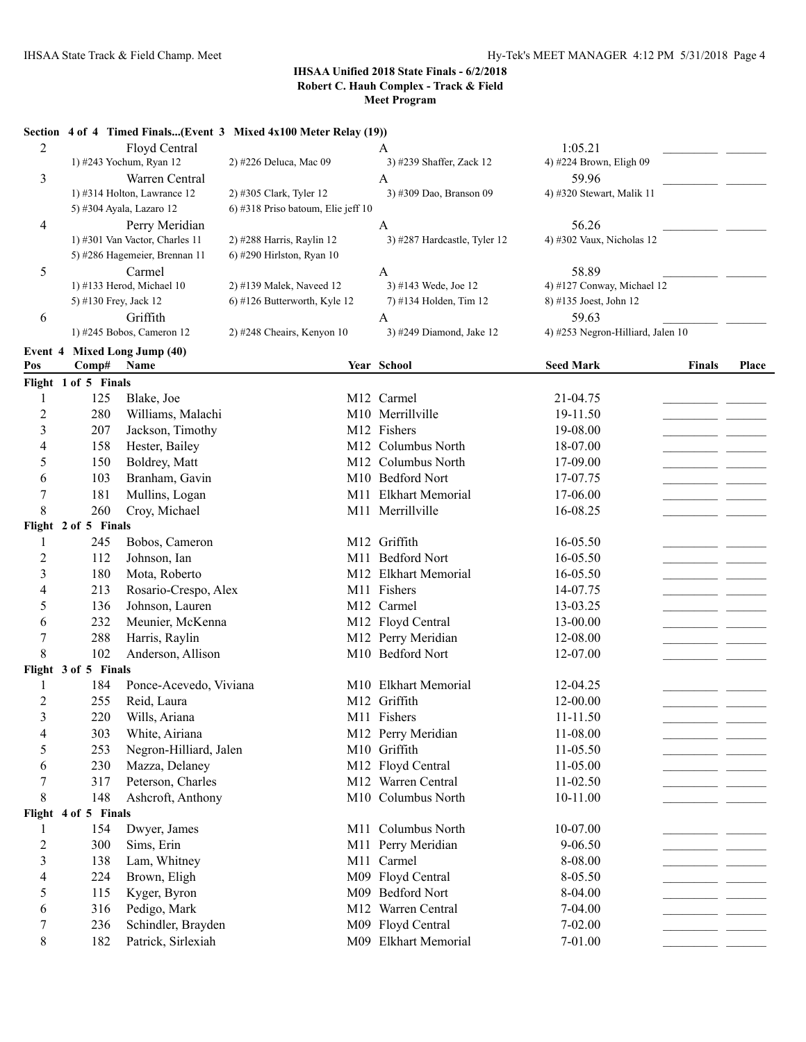#### **Section 4 of 4 Timed Finals...(Event 3 Mixed 4x100 Meter Relay (19))**

| 2                       |                       | Floyd Central                  |                                    | $\mathbf{A}$                 | 1:05.21                           |        |       |
|-------------------------|-----------------------|--------------------------------|------------------------------------|------------------------------|-----------------------------------|--------|-------|
|                         |                       | 1) #243 Yochum, Ryan 12        | 2) #226 Deluca, Mac 09             | 3) #239 Shaffer, Zack 12     | 4) #224 Brown, Eligh 09           |        |       |
| 3                       |                       | Warren Central                 |                                    | A                            | 59.96                             |        |       |
|                         |                       | 1) #314 Holton, Lawrance 12    | 2) #305 Clark, Tyler 12            | 3) #309 Dao, Branson 09      | 4) #320 Stewart, Malik 11         |        |       |
|                         |                       | 5) #304 Ayala, Lazaro 12       | 6) #318 Priso batoum, Elie jeff 10 |                              |                                   |        |       |
| 4                       |                       | Perry Meridian                 |                                    | A                            | 56.26                             |        |       |
|                         |                       | 1) #301 Van Vactor, Charles 11 | 2) #288 Harris, Raylin 12          | 3) #287 Hardcastle, Tyler 12 | 4) #302 Vaux, Nicholas 12         |        |       |
|                         |                       | 5) #286 Hagemeier, Brennan 11  | 6) #290 Hirlston, Ryan 10          |                              |                                   |        |       |
| 5                       |                       | Carmel                         |                                    | A                            | 58.89                             |        |       |
|                         |                       | 1) #133 Herod, Michael 10      | 2) #139 Malek, Naveed 12           | 3) #143 Wede, Joe 12         | 4) #127 Conway, Michael 12        |        |       |
|                         | 5) #130 Frey, Jack 12 |                                | 6) #126 Butterworth, Kyle 12       | 7) #134 Holden, Tim 12       | 8) #135 Joest, John 12            |        |       |
| 6                       |                       | Griffith                       |                                    | A                            | 59.63                             |        |       |
|                         |                       | 1) #245 Bobos, Cameron 12      | 2) #248 Cheairs, Kenyon 10         | 3) #249 Diamond, Jake 12     | 4) #253 Negron-Hilliard, Jalen 10 |        |       |
| Event 4                 |                       | <b>Mixed Long Jump (40)</b>    |                                    |                              |                                   |        |       |
| Pos                     | Comp#                 | Name                           |                                    | Year School                  | <b>Seed Mark</b>                  | Finals | Place |
|                         | Flight 1 of 5 Finals  |                                |                                    |                              |                                   |        |       |
| 1                       | 125                   | Blake, Joe                     |                                    | M12 Carmel                   | 21-04.75                          |        |       |
| $\overline{2}$          | 280                   | Williams, Malachi              |                                    | M10 Merrillville             | 19-11.50                          |        |       |
| 3                       | 207                   | Jackson, Timothy               |                                    | M12 Fishers                  | 19-08.00                          |        |       |
| 4                       | 158                   | Hester, Bailey                 |                                    | M12 Columbus North           | 18-07.00                          |        |       |
| 5                       | 150                   | Boldrey, Matt                  |                                    | M12 Columbus North           | 17-09.00                          |        |       |
| 6                       | 103                   | Branham, Gavin                 |                                    | M10 Bedford Nort             | 17-07.75                          |        |       |
| 7                       | 181                   | Mullins, Logan                 |                                    | M11 Elkhart Memorial         | 17-06.00                          |        |       |
| 8                       | 260                   | Croy, Michael                  |                                    | M11 Merrillville             | 16-08.25                          |        |       |
|                         | Flight 2 of 5 Finals  |                                |                                    |                              |                                   |        |       |
| 1                       | 245                   | Bobos, Cameron                 |                                    | M12 Griffith                 | 16-05.50                          |        |       |
| $\overline{2}$          | 112                   | Johnson, Ian                   |                                    | M11 Bedford Nort             | 16-05.50                          |        |       |
| $\mathfrak{Z}$          | 180                   |                                |                                    | M12 Elkhart Memorial         | 16-05.50                          |        |       |
|                         | 213                   | Mota, Roberto                  |                                    | M11 Fishers                  |                                   |        |       |
| 4                       |                       | Rosario-Crespo, Alex           |                                    |                              | 14-07.75                          |        |       |
| 5                       | 136                   | Johnson, Lauren                |                                    | M12 Carmel                   | 13-03.25                          |        |       |
| 6                       | 232                   | Meunier, McKenna               |                                    | M12 Floyd Central            | 13-00.00                          |        |       |
| 7                       | 288                   | Harris, Raylin                 |                                    | M12 Perry Meridian           | 12-08.00                          |        |       |
| 8                       | 102                   | Anderson, Allison              |                                    | M10 Bedford Nort             | 12-07.00                          |        |       |
|                         | Flight 3 of 5 Finals  |                                |                                    |                              |                                   |        |       |
|                         | 184                   | Ponce-Acevedo, Viviana         |                                    | M10 Elkhart Memorial         | 12-04.25                          |        |       |
| $\overline{2}$          | 255                   | Reid, Laura                    |                                    | M12 Griffith                 | 12-00.00                          |        |       |
| 3                       | 220                   | Wills, Ariana                  |                                    | M11 Fishers                  | $11 - 11.50$                      |        |       |
| 4                       | 303                   | White, Airiana                 |                                    | M12 Perry Meridian           | 11-08.00                          |        |       |
| 5                       | 253                   | Negron-Hilliard, Jalen         |                                    | M10 Griffith                 | 11-05.50                          |        |       |
| 6                       | 230                   | Mazza, Delaney                 |                                    | M12 Floyd Central            | 11-05.00                          |        |       |
| $\tau$                  | 317                   | Peterson, Charles              |                                    | M12 Warren Central           | 11-02.50                          |        |       |
| $\,$ 8 $\,$             | 148                   | Ashcroft, Anthony              |                                    | M10 Columbus North           | 10-11.00                          |        |       |
|                         | Flight 4 of 5 Finals  |                                |                                    |                              |                                   |        |       |
| $\mathbf{1}$            | 154                   | Dwyer, James                   |                                    | M11 Columbus North           | 10-07.00                          |        |       |
| $\overline{2}$          | 300                   | Sims, Erin                     |                                    | M11 Perry Meridian           | $9 - 06.50$                       |        |       |
| $\overline{\mathbf{3}}$ | 138                   | Lam, Whitney                   |                                    | M11 Carmel                   | 8-08.00                           |        |       |
| 4                       | 224                   | Brown, Eligh                   |                                    | M09 Floyd Central            | 8-05.50                           |        |       |
| 5                       | 115                   | Kyger, Byron                   |                                    | M09 Bedford Nort             | 8-04.00                           |        |       |
| 6                       | 316                   | Pedigo, Mark                   |                                    | M12 Warren Central           | 7-04.00                           |        |       |
| 7                       | 236                   | Schindler, Brayden             |                                    | M09 Floyd Central            | $7 - 02.00$                       |        |       |
| $8\,$                   | 182                   | Patrick, Sirlexiah             |                                    | M09 Elkhart Memorial         | 7-01.00                           |        |       |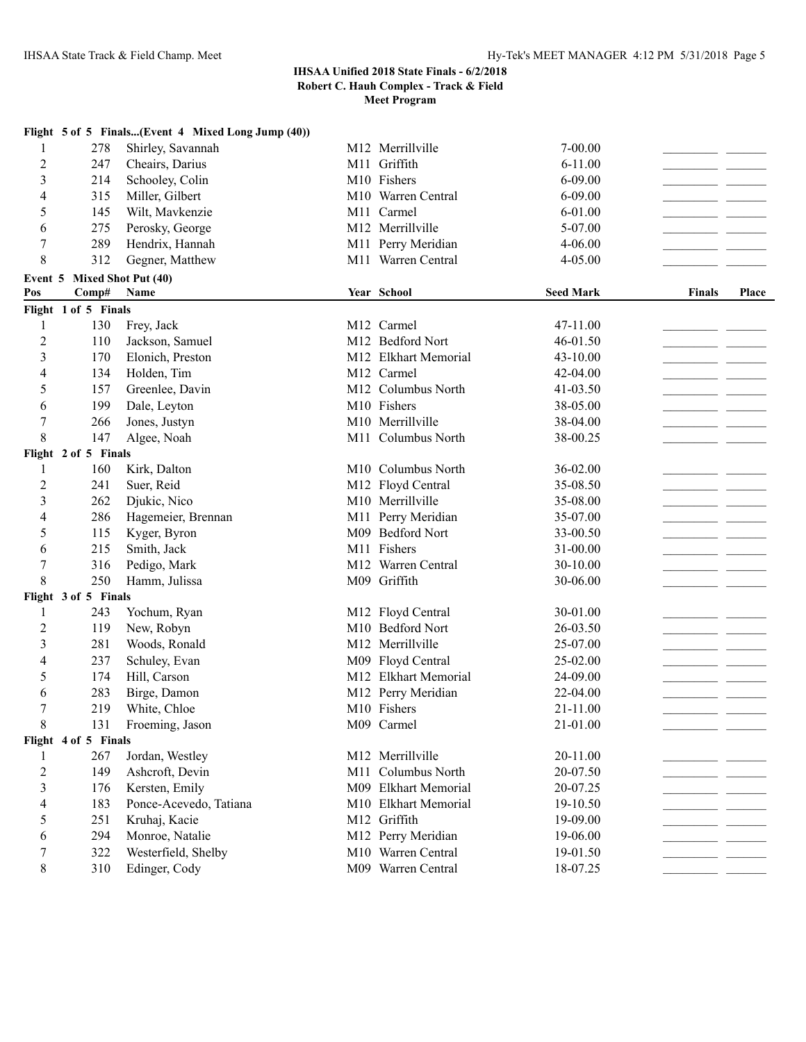**Meet Program**

|                |                             | Flight 5 of 5 Finals(Event 4 Mixed Long Jump (40)) |                      |                  |               |       |
|----------------|-----------------------------|----------------------------------------------------|----------------------|------------------|---------------|-------|
| 1              | 278                         | Shirley, Savannah                                  | M12 Merrillville     | $7 - 00.00$      |               |       |
| 2              | 247                         | Cheairs, Darius                                    | M11 Griffith         | $6 - 11.00$      |               |       |
| 3              | 214                         | Schooley, Colin                                    | M10 Fishers          | 6-09.00          |               |       |
| 4              | 315                         | Miller, Gilbert                                    | M10 Warren Central   | 6-09.00          |               |       |
| 5              | 145                         | Wilt, Mavkenzie                                    | M11 Carmel           | 6-01.00          |               |       |
| 6              | 275                         | Perosky, George                                    | M12 Merrillville     | 5-07.00          |               |       |
| 7              | 289                         | Hendrix, Hannah                                    | M11 Perry Meridian   | 4-06.00          |               |       |
| 8              | 312                         | Gegner, Matthew                                    | M11 Warren Central   | 4-05.00          |               |       |
|                | Event 5 Mixed Shot Put (40) |                                                    |                      |                  |               |       |
| Pos            | Comp#                       | Name                                               | Year School          | <b>Seed Mark</b> | <b>Finals</b> | Place |
|                | Flight 1 of 5 Finals        |                                                    |                      |                  |               |       |
| 1              | 130                         | Frey, Jack                                         | M12 Carmel           | 47-11.00         |               |       |
| 2              | 110                         | Jackson, Samuel                                    | M12 Bedford Nort     | 46-01.50         |               |       |
| 3              | 170                         | Elonich, Preston                                   | M12 Elkhart Memorial | 43-10.00         |               |       |
| 4              | 134                         | Holden, Tim                                        | M12 Carmel           | 42-04.00         |               |       |
| 5              | 157                         | Greenlee, Davin                                    | M12 Columbus North   | 41-03.50         |               |       |
| 6              | 199                         | Dale, Leyton                                       | M10 Fishers          | 38-05.00         |               |       |
| 7              | 266                         | Jones, Justyn                                      | M10 Merrillville     | 38-04.00         |               |       |
| 8              | 147                         | Algee, Noah                                        | M11 Columbus North   | 38-00.25         |               |       |
|                | Flight 2 of 5 Finals        |                                                    |                      |                  |               |       |
| 1              | 160                         | Kirk, Dalton                                       | M10 Columbus North   | 36-02.00         |               |       |
| $\overline{2}$ | 241                         | Suer, Reid                                         | M12 Floyd Central    | 35-08.50         |               |       |
| 3              | 262                         | Djukic, Nico                                       | M10 Merrillville     | 35-08.00         |               |       |
| 4              | 286                         | Hagemeier, Brennan                                 | M11 Perry Meridian   | 35-07.00         |               |       |
| 5              | 115                         | Kyger, Byron                                       | M09 Bedford Nort     | 33-00.50         |               |       |
| 6              | 215                         | Smith, Jack                                        | M11 Fishers          | 31-00.00         |               |       |
| 7              | 316                         | Pedigo, Mark                                       | M12 Warren Central   | 30-10.00         |               |       |
| 8              | 250                         | Hamm, Julissa                                      | M09 Griffith         | 30-06.00         |               |       |
|                | Flight 3 of 5 Finals        |                                                    |                      |                  |               |       |
| 1              | 243                         | Yochum, Ryan                                       | M12 Floyd Central    | 30-01.00         |               |       |
| 2              | 119                         | New, Robyn                                         | M10 Bedford Nort     | 26-03.50         |               |       |
| 3              | 281                         | Woods, Ronald                                      | M12 Merrillville     | 25-07.00         |               |       |
| 4              | 237                         | Schuley, Evan                                      | M09 Floyd Central    | 25-02.00         |               |       |
| 5              | 174                         | Hill, Carson                                       | M12 Elkhart Memorial | 24-09.00         |               |       |
| 6              | 283                         | Birge, Damon                                       | M12 Perry Meridian   | 22-04.00         |               |       |
| 7              | 219                         | White, Chloe                                       | M10 Fishers          | 21-11.00         | - -           |       |
| 8              | 131                         | Froeming, Jason                                    | M09 Carmel           | 21-01.00         |               |       |
|                | Flight 4 of 5 Finals        |                                                    |                      |                  |               |       |
| 1              | 267                         | Jordan, Westley                                    | M12 Merrillville     | 20-11.00         |               |       |
| $\overline{c}$ | 149                         | Ashcroft, Devin                                    | M11 Columbus North   | 20-07.50         |               |       |
| 3              | 176                         | Kersten, Emily                                     | M09 Elkhart Memorial | 20-07.25         |               |       |
| 4              | 183                         | Ponce-Acevedo, Tatiana                             | M10 Elkhart Memorial | 19-10.50         |               |       |
| 5              | 251                         | Kruhaj, Kacie                                      | M12 Griffith         | 19-09.00         |               |       |
| 6              | 294                         | Monroe, Natalie                                    | M12 Perry Meridian   | 19-06.00         |               |       |
| 7              | 322                         | Westerfield, Shelby                                | M10 Warren Central   | 19-01.50         |               |       |
| 8              | 310                         | Edinger, Cody                                      | M09 Warren Central   | 18-07.25         |               |       |